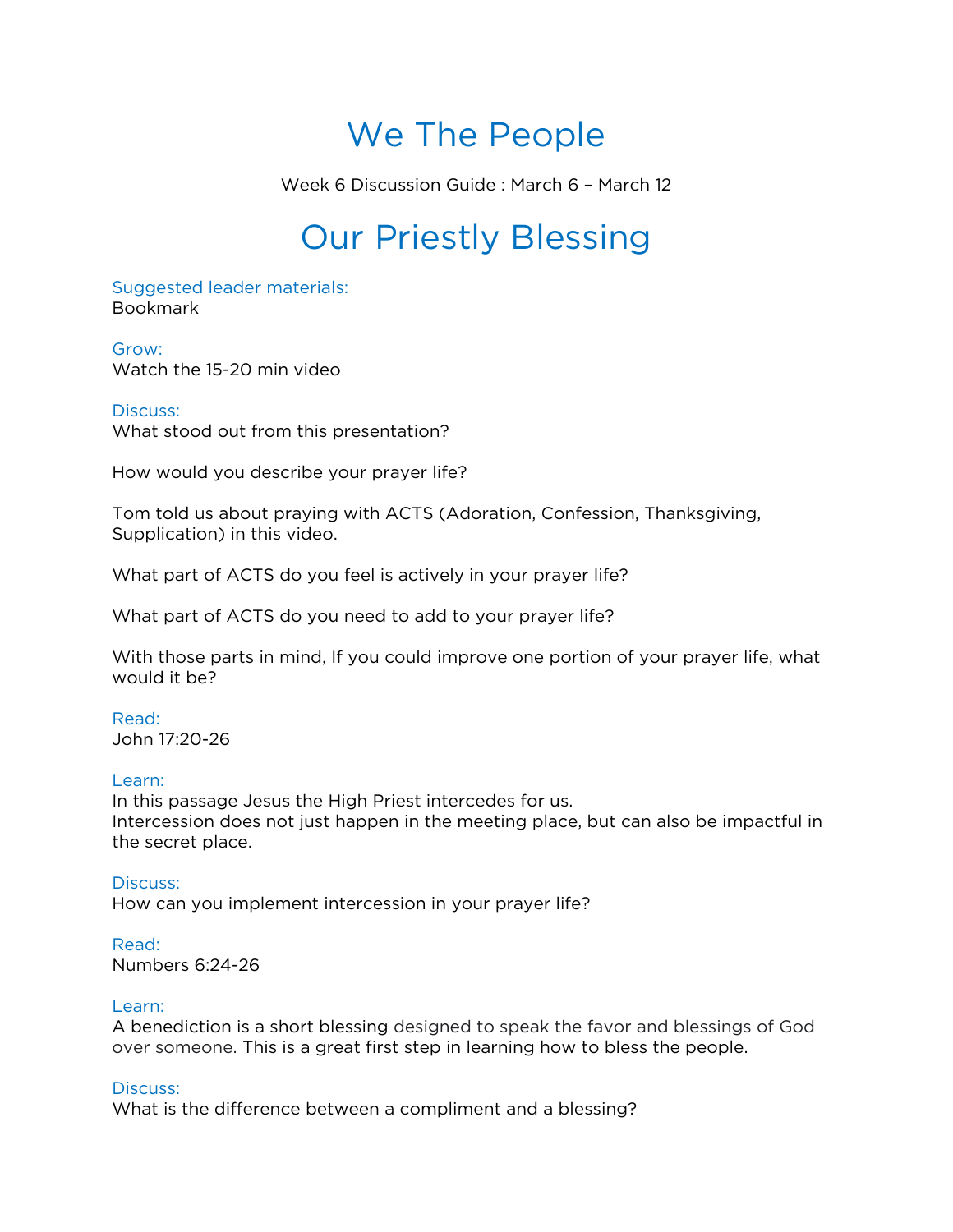# We The People

Week 6 Discussion Guide : March 6 – March 12

## Our Priestly Blessing

Suggested leader materials: Bookmark

Grow: Watch the 15-20 min video

## Discuss:

What stood out from this presentation?

How would you describe your prayer life?

Tom told us about praying with ACTS (Adoration, Confession, Thanksgiving, Supplication) in this video.

What part of ACTS do you feel is actively in your prayer life?

What part of ACTS do you need to add to your prayer life?

With those parts in mind, If you could improve one portion of your prayer life, what would it be?

## Read:

John 17:20-26

## Learn:

In this passage Jesus the High Priest intercedes for us. Intercession does not just happen in the meeting place, but can also be impactful in the secret place.

Discuss: How can you implement intercession in your prayer life?

## Read:

Numbers 6:24-26

## Learn:

A benediction is a short blessing designed to speak the favor and blessings of God over someone. This is a great first step in learning how to bless the people.

## Discuss:

What is the difference between a compliment and a blessing?